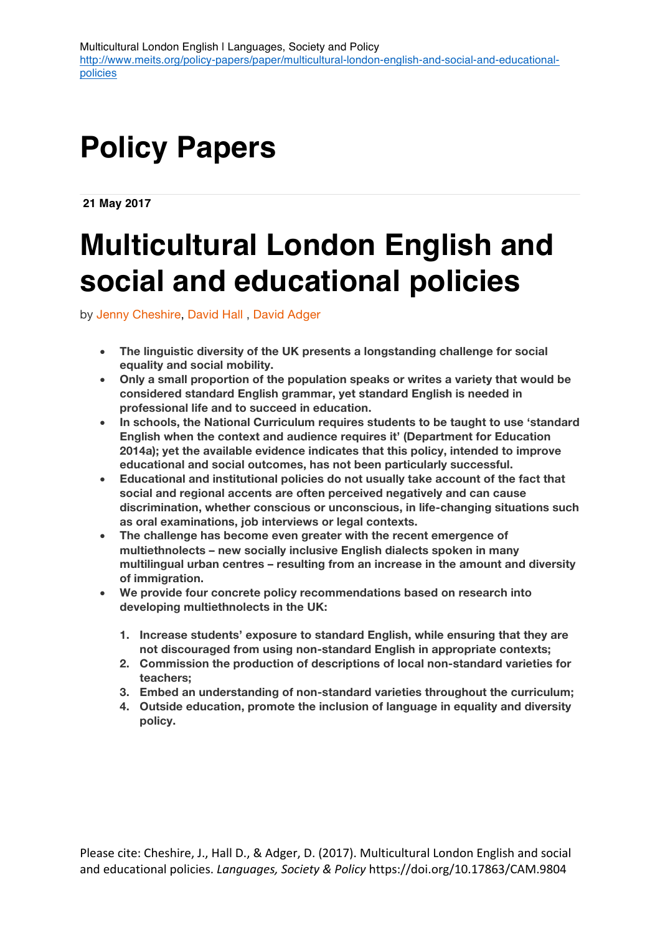# **Policy Papers**

**21 May 2017**

# **Multicultural London English and social and educational policies**

by Jenny Cheshire, David Hall , David Adger

- **The linguistic diversity of the UK presents a longstanding challenge for social equality and social mobility.**
- **Only a small proportion of the population speaks or writes a variety that would be considered standard English grammar, yet standard English is needed in professional life and to succeed in education.**
- **In schools, the National Curriculum requires students to be taught to use 'standard English when the context and audience requires it' (Department for Education 2014a); yet the available evidence indicates that this policy, intended to improve educational and social outcomes, has not been particularly successful.**
- **Educational and institutional policies do not usually take account of the fact that social and regional accents are often perceived negatively and can cause discrimination, whether conscious or unconscious, in life-changing situations such as oral examinations, job interviews or legal contexts.**
- **The challenge has become even greater with the recent emergence of multiethnolects – new socially inclusive English dialects spoken in many multilingual urban centres – resulting from an increase in the amount and diversity of immigration.**
- **We provide four concrete policy recommendations based on research into developing multiethnolects in the UK:**
	- **1. Increase students' exposure to standard English, while ensuring that they are not discouraged from using non-standard English in appropriate contexts;**
	- **2. Commission the production of descriptions of local non-standard varieties for teachers;**
	- **3. Embed an understanding of non-standard varieties throughout the curriculum;**
	- **4. Outside education, promote the inclusion of language in equality and diversity policy.**

Please cite: Cheshire, J., Hall D., & Adger, D. (2017). Multicultural London English and social and educational policies. *Languages, Society & Policy* https://doi.org/10.17863/CAM.9804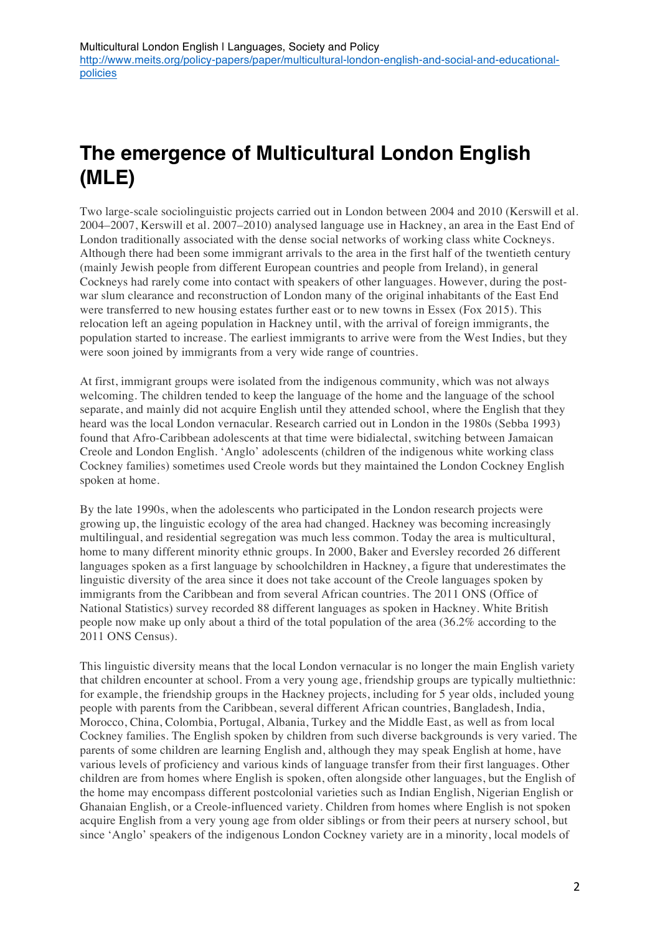# **The emergence of Multicultural London English (MLE)**

Two large-scale sociolinguistic projects carried out in London between 2004 and 2010 (Kerswill et al. 2004–2007, Kerswill et al. 2007–2010) analysed language use in Hackney, an area in the East End of London traditionally associated with the dense social networks of working class white Cockneys. Although there had been some immigrant arrivals to the area in the first half of the twentieth century (mainly Jewish people from different European countries and people from Ireland), in general Cockneys had rarely come into contact with speakers of other languages. However, during the postwar slum clearance and reconstruction of London many of the original inhabitants of the East End were transferred to new housing estates further east or to new towns in Essex (Fox 2015). This relocation left an ageing population in Hackney until, with the arrival of foreign immigrants, the population started to increase. The earliest immigrants to arrive were from the West Indies, but they were soon joined by immigrants from a very wide range of countries.

At first, immigrant groups were isolated from the indigenous community, which was not always welcoming. The children tended to keep the language of the home and the language of the school separate, and mainly did not acquire English until they attended school, where the English that they heard was the local London vernacular. Research carried out in London in the 1980s (Sebba 1993) found that Afro-Caribbean adolescents at that time were bidialectal, switching between Jamaican Creole and London English. 'Anglo' adolescents (children of the indigenous white working class Cockney families) sometimes used Creole words but they maintained the London Cockney English spoken at home.

By the late 1990s, when the adolescents who participated in the London research projects were growing up, the linguistic ecology of the area had changed. Hackney was becoming increasingly multilingual, and residential segregation was much less common. Today the area is multicultural, home to many different minority ethnic groups. In 2000, Baker and Eversley recorded 26 different languages spoken as a first language by schoolchildren in Hackney, a figure that underestimates the linguistic diversity of the area since it does not take account of the Creole languages spoken by immigrants from the Caribbean and from several African countries. The 2011 ONS (Office of National Statistics) survey recorded 88 different languages as spoken in Hackney. White British people now make up only about a third of the total population of the area (36.2% according to the 2011 ONS Census).

This linguistic diversity means that the local London vernacular is no longer the main English variety that children encounter at school. From a very young age, friendship groups are typically multiethnic: for example, the friendship groups in the Hackney projects, including for 5 year olds, included young people with parents from the Caribbean, several different African countries, Bangladesh, India, Morocco, China, Colombia, Portugal, Albania, Turkey and the Middle East, as well as from local Cockney families. The English spoken by children from such diverse backgrounds is very varied. The parents of some children are learning English and, although they may speak English at home, have various levels of proficiency and various kinds of language transfer from their first languages. Other children are from homes where English is spoken, often alongside other languages, but the English of the home may encompass different postcolonial varieties such as Indian English, Nigerian English or Ghanaian English, or a Creole-influenced variety. Children from homes where English is not spoken acquire English from a very young age from older siblings or from their peers at nursery school, but since 'Anglo' speakers of the indigenous London Cockney variety are in a minority, local models of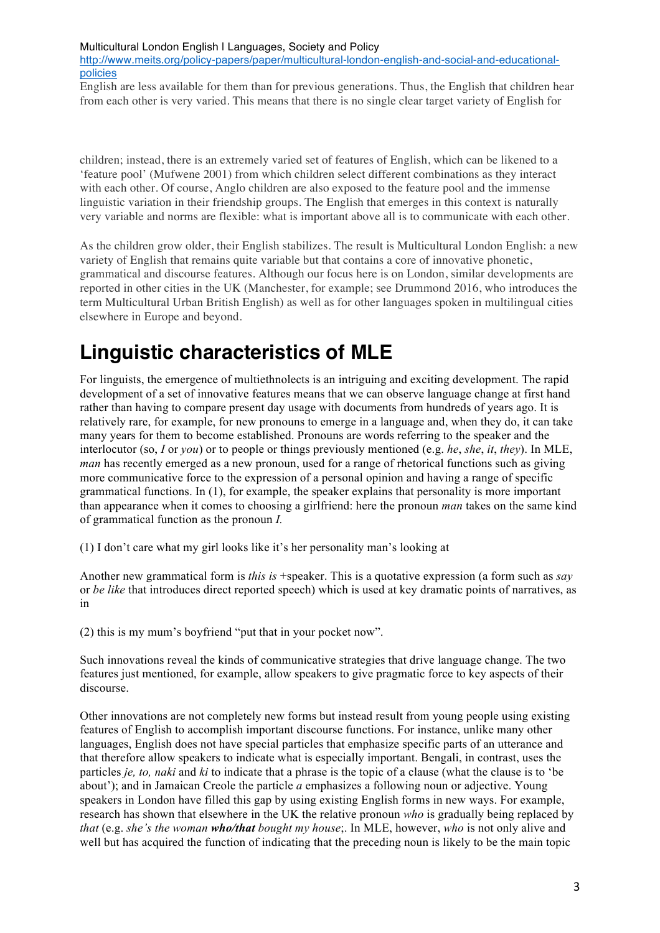http://www.meits.org/policy-papers/paper/multicultural-london-english-and-social-and-educationalpolicies

English are less available for them than for previous generations. Thus, the English that children hear from each other is very varied. This means that there is no single clear target variety of English for

children; instead, there is an extremely varied set of features of English, which can be likened to a 'feature pool' (Mufwene 2001) from which children select different combinations as they interact with each other. Of course, Anglo children are also exposed to the feature pool and the immense linguistic variation in their friendship groups. The English that emerges in this context is naturally very variable and norms are flexible: what is important above all is to communicate with each other.

As the children grow older, their English stabilizes. The result is Multicultural London English: a new variety of English that remains quite variable but that contains a core of innovative phonetic, grammatical and discourse features. Although our focus here is on London, similar developments are reported in other cities in the UK (Manchester, for example; see Drummond 2016, who introduces the term Multicultural Urban British English) as well as for other languages spoken in multilingual cities elsewhere in Europe and beyond.

# **Linguistic characteristics of MLE**

For linguists, the emergence of multiethnolects is an intriguing and exciting development. The rapid development of a set of innovative features means that we can observe language change at first hand rather than having to compare present day usage with documents from hundreds of years ago. It is relatively rare, for example, for new pronouns to emerge in a language and, when they do, it can take many years for them to become established. Pronouns are words referring to the speaker and the interlocutor (so, *I* or *you*) or to people or things previously mentioned (e.g. *he*, *she*, *it*, *they*). In MLE, *man* has recently emerged as a new pronoun, used for a range of rhetorical functions such as giving more communicative force to the expression of a personal opinion and having a range of specific grammatical functions. In (1), for example, the speaker explains that personality is more important than appearance when it comes to choosing a girlfriend: here the pronoun *man* takes on the same kind of grammatical function as the pronoun *I.*

(1) I don't care what my girl looks like it's her personality man's looking at

Another new grammatical form is *this is* +speaker. This is a quotative expression (a form such as *say* or *be like* that introduces direct reported speech) which is used at key dramatic points of narratives, as in

(2) this is my mum's boyfriend "put that in your pocket now".

Such innovations reveal the kinds of communicative strategies that drive language change. The two features just mentioned, for example, allow speakers to give pragmatic force to key aspects of their discourse.

Other innovations are not completely new forms but instead result from young people using existing features of English to accomplish important discourse functions. For instance, unlike many other languages, English does not have special particles that emphasize specific parts of an utterance and that therefore allow speakers to indicate what is especially important. Bengali, in contrast, uses the particles *je, to, naki* and *ki* to indicate that a phrase is the topic of a clause (what the clause is to 'be about'); and in Jamaican Creole the particle *a* emphasizes a following noun or adjective. Young speakers in London have filled this gap by using existing English forms in new ways. For example, research has shown that elsewhere in the UK the relative pronoun *who* is gradually being replaced by *that* (e.g. *she's the woman who/that bought my house*;. In MLE, however, *who* is not only alive and well but has acquired the function of indicating that the preceding noun is likely to be the main topic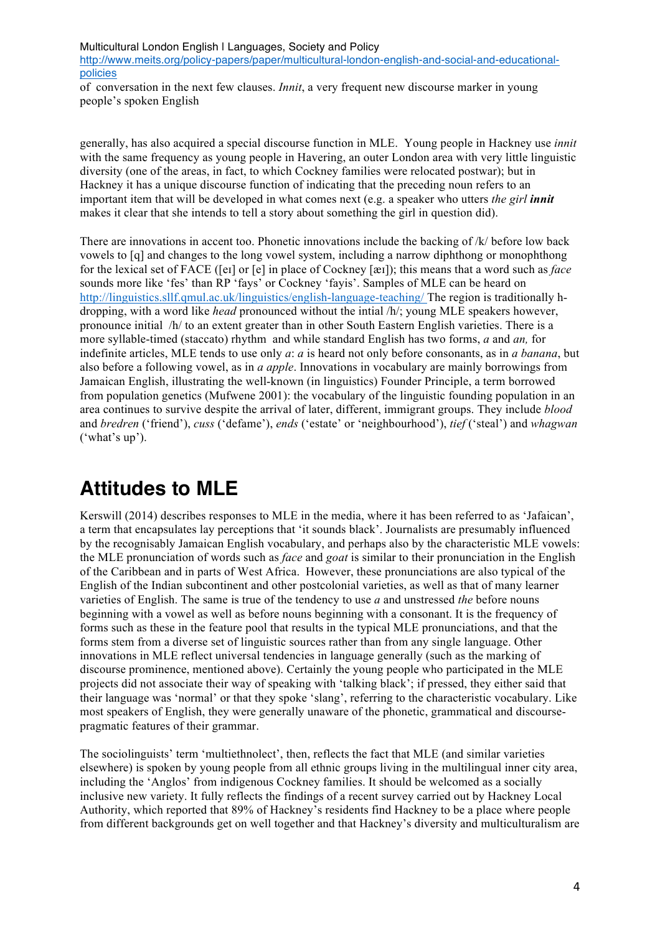Multicultural London English | Languages, Society and Policy http://www.meits.org/policy-papers/paper/multicultural-london-english-and-social-and-educationalpolicies

of conversation in the next few clauses. *Innit*, a very frequent new discourse marker in young people's spoken English

generally, has also acquired a special discourse function in MLE. Young people in Hackney use *innit* with the same frequency as young people in Havering, an outer London area with very little linguistic diversity (one of the areas, in fact, to which Cockney families were relocated postwar); but in Hackney it has a unique discourse function of indicating that the preceding noun refers to an important item that will be developed in what comes next (e.g. a speaker who utters *the girl innit* makes it clear that she intends to tell a story about something the girl in question did).

There are innovations in accent too. Phonetic innovations include the backing of /k/ before low back vowels to [q] and changes to the long vowel system, including a narrow diphthong or monophthong for the lexical set of FACE ([eɪ] or [e] in place of Cockney [æɪ]); this means that a word such as *face* sounds more like 'fes' than RP 'fays' or Cockney 'fayis'. Samples of MLE can be heard on http://linguistics.sllf.qmul.ac.uk/linguistics/english-language-teaching/ The region is traditionally hdropping, with a word like *head* pronounced without the intial /h/; young MLE speakers however, pronounce initial /h/ to an extent greater than in other South Eastern English varieties. There is a more syllable-timed (staccato) rhythm and while standard English has two forms, *a* and *an,* for indefinite articles, MLE tends to use only *a*: *a* is heard not only before consonants, as in *a banana*, but also before a following vowel, as in *a apple*. Innovations in vocabulary are mainly borrowings from Jamaican English, illustrating the well-known (in linguistics) Founder Principle, a term borrowed from population genetics (Mufwene 2001): the vocabulary of the linguistic founding population in an area continues to survive despite the arrival of later, different, immigrant groups. They include *blood* and *bredren* ('friend'), *cuss* ('defame'), *ends* ('estate' or 'neighbourhood'), *tief* ('steal') and *whagwan*  ('what's up').

## **Attitudes to MLE**

Kerswill (2014) describes responses to MLE in the media, where it has been referred to as 'Jafaican', a term that encapsulates lay perceptions that 'it sounds black'. Journalists are presumably influenced by the recognisably Jamaican English vocabulary, and perhaps also by the characteristic MLE vowels: the MLE pronunciation of words such as *face* and *goat* is similar to their pronunciation in the English of the Caribbean and in parts of West Africa. However, these pronunciations are also typical of the English of the Indian subcontinent and other postcolonial varieties, as well as that of many learner varieties of English. The same is true of the tendency to use *a* and unstressed *the* before nouns beginning with a vowel as well as before nouns beginning with a consonant. It is the frequency of forms such as these in the feature pool that results in the typical MLE pronunciations, and that the forms stem from a diverse set of linguistic sources rather than from any single language. Other innovations in MLE reflect universal tendencies in language generally (such as the marking of discourse prominence, mentioned above). Certainly the young people who participated in the MLE projects did not associate their way of speaking with 'talking black'; if pressed, they either said that their language was 'normal' or that they spoke 'slang', referring to the characteristic vocabulary. Like most speakers of English, they were generally unaware of the phonetic, grammatical and discoursepragmatic features of their grammar.

The sociolinguists' term 'multiethnolect', then, reflects the fact that MLE (and similar varieties elsewhere) is spoken by young people from all ethnic groups living in the multilingual inner city area, including the 'Anglos' from indigenous Cockney families. It should be welcomed as a socially inclusive new variety. It fully reflects the findings of a recent survey carried out by Hackney Local Authority, which reported that 89% of Hackney's residents find Hackney to be a place where people from different backgrounds get on well together and that Hackney's diversity and multiculturalism are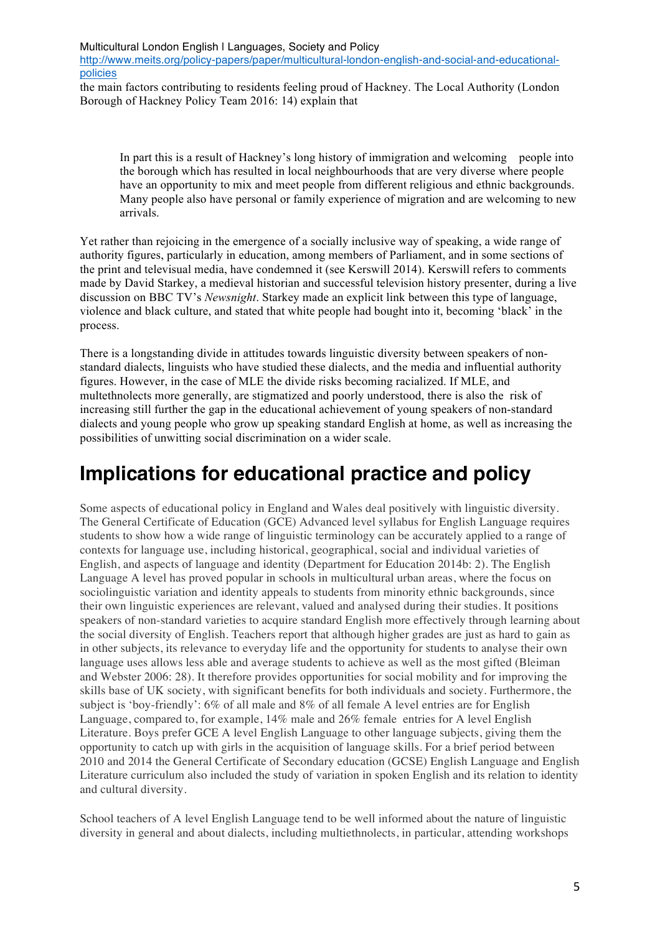Multicultural London English | Languages, Society and Policy http://www.meits.org/policy-papers/paper/multicultural-london-english-and-social-and-educationalpolicies

the main factors contributing to residents feeling proud of Hackney. The Local Authority (London Borough of Hackney Policy Team 2016: 14) explain that

In part this is a result of Hackney's long history of immigration and welcoming people into the borough which has resulted in local neighbourhoods that are very diverse where people have an opportunity to mix and meet people from different religious and ethnic backgrounds. Many people also have personal or family experience of migration and are welcoming to new arrivals.

Yet rather than rejoicing in the emergence of a socially inclusive way of speaking, a wide range of authority figures, particularly in education, among members of Parliament, and in some sections of the print and televisual media, have condemned it (see Kerswill 2014). Kerswill refers to comments made by David Starkey, a medieval historian and successful television history presenter, during a live discussion on BBC TV's *Newsnight*. Starkey made an explicit link between this type of language, violence and black culture, and stated that white people had bought into it, becoming 'black' in the process.

There is a longstanding divide in attitudes towards linguistic diversity between speakers of nonstandard dialects, linguists who have studied these dialects, and the media and influential authority figures. However, in the case of MLE the divide risks becoming racialized. If MLE, and multethnolects more generally, are stigmatized and poorly understood, there is also the risk of increasing still further the gap in the educational achievement of young speakers of non-standard dialects and young people who grow up speaking standard English at home, as well as increasing the possibilities of unwitting social discrimination on a wider scale.

## **Implications for educational practice and policy**

Some aspects of educational policy in England and Wales deal positively with linguistic diversity. The General Certificate of Education (GCE) Advanced level syllabus for English Language requires students to show how a wide range of linguistic terminology can be accurately applied to a range of contexts for language use, including historical, geographical, social and individual varieties of English, and aspects of language and identity (Department for Education 2014b: 2). The English Language A level has proved popular in schools in multicultural urban areas, where the focus on sociolinguistic variation and identity appeals to students from minority ethnic backgrounds, since their own linguistic experiences are relevant, valued and analysed during their studies. It positions speakers of non-standard varieties to acquire standard English more effectively through learning about the social diversity of English. Teachers report that although higher grades are just as hard to gain as in other subjects, its relevance to everyday life and the opportunity for students to analyse their own language uses allows less able and average students to achieve as well as the most gifted (Bleiman and Webster 2006: 28). It therefore provides opportunities for social mobility and for improving the skills base of UK society, with significant benefits for both individuals and society. Furthermore, the subject is 'boy-friendly': 6% of all male and 8% of all female A level entries are for English Language, compared to, for example, 14% male and 26% female entries for A level English Literature. Boys prefer GCE A level English Language to other language subjects, giving them the opportunity to catch up with girls in the acquisition of language skills. For a brief period between 2010 and 2014 the General Certificate of Secondary education (GCSE) English Language and English Literature curriculum also included the study of variation in spoken English and its relation to identity and cultural diversity.

School teachers of A level English Language tend to be well informed about the nature of linguistic diversity in general and about dialects, including multiethnolects, in particular, attending workshops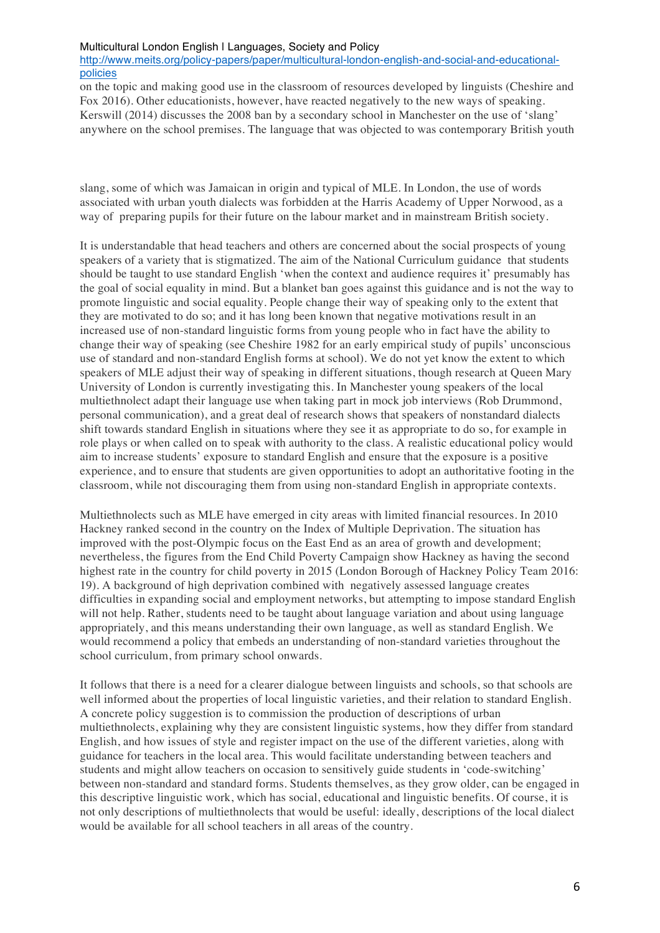#### Multicultural London English | Languages, Society and Policy

http://www.meits.org/policy-papers/paper/multicultural-london-english-and-social-and-educationalpolicies

on the topic and making good use in the classroom of resources developed by linguists (Cheshire and Fox 2016). Other educationists, however, have reacted negatively to the new ways of speaking. Kerswill (2014) discusses the 2008 ban by a secondary school in Manchester on the use of 'slang' anywhere on the school premises. The language that was objected to was contemporary British youth

slang, some of which was Jamaican in origin and typical of MLE. In London, the use of words associated with urban youth dialects was forbidden at the Harris Academy of Upper Norwood, as a way of preparing pupils for their future on the labour market and in mainstream British society.

It is understandable that head teachers and others are concerned about the social prospects of young speakers of a variety that is stigmatized. The aim of the National Curriculum guidance that students should be taught to use standard English 'when the context and audience requires it' presumably has the goal of social equality in mind. But a blanket ban goes against this guidance and is not the way to promote linguistic and social equality. People change their way of speaking only to the extent that they are motivated to do so; and it has long been known that negative motivations result in an increased use of non-standard linguistic forms from young people who in fact have the ability to change their way of speaking (see Cheshire 1982 for an early empirical study of pupils' unconscious use of standard and non-standard English forms at school). We do not yet know the extent to which speakers of MLE adjust their way of speaking in different situations, though research at Queen Mary University of London is currently investigating this. In Manchester young speakers of the local multiethnolect adapt their language use when taking part in mock job interviews (Rob Drummond, personal communication), and a great deal of research shows that speakers of nonstandard dialects shift towards standard English in situations where they see it as appropriate to do so, for example in role plays or when called on to speak with authority to the class. A realistic educational policy would aim to increase students' exposure to standard English and ensure that the exposure is a positive experience, and to ensure that students are given opportunities to adopt an authoritative footing in the classroom, while not discouraging them from using non-standard English in appropriate contexts.

Multiethnolects such as MLE have emerged in city areas with limited financial resources. In 2010 Hackney ranked second in the country on the Index of Multiple Deprivation. The situation has improved with the post-Olympic focus on the East End as an area of growth and development; nevertheless, the figures from the End Child Poverty Campaign show Hackney as having the second highest rate in the country for child poverty in 2015 (London Borough of Hackney Policy Team 2016: 19). A background of high deprivation combined with negatively assessed language creates difficulties in expanding social and employment networks, but attempting to impose standard English will not help. Rather, students need to be taught about language variation and about using language appropriately, and this means understanding their own language, as well as standard English. We would recommend a policy that embeds an understanding of non-standard varieties throughout the school curriculum, from primary school onwards.

It follows that there is a need for a clearer dialogue between linguists and schools, so that schools are well informed about the properties of local linguistic varieties, and their relation to standard English. A concrete policy suggestion is to commission the production of descriptions of urban multiethnolects, explaining why they are consistent linguistic systems, how they differ from standard English, and how issues of style and register impact on the use of the different varieties, along with guidance for teachers in the local area. This would facilitate understanding between teachers and students and might allow teachers on occasion to sensitively guide students in 'code-switching' between non-standard and standard forms. Students themselves, as they grow older, can be engaged in this descriptive linguistic work, which has social, educational and linguistic benefits. Of course, it is not only descriptions of multiethnolects that would be useful: ideally, descriptions of the local dialect would be available for all school teachers in all areas of the country.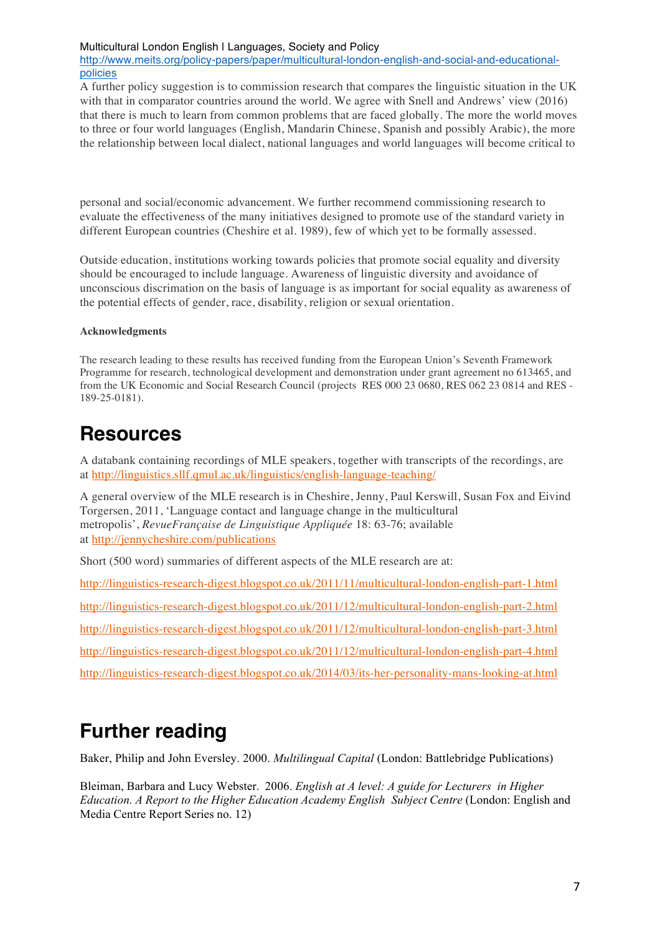#### Multicultural London English | Languages, Society and Policy

http://www.meits.org/policy-papers/paper/multicultural-london-english-and-social-and-educationalpolicies

A further policy suggestion is to commission research that compares the linguistic situation in the UK with that in comparator countries around the world. We agree with Snell and Andrews' view (2016) that there is much to learn from common problems that are faced globally. The more the world moves to three or four world languages (English, Mandarin Chinese, Spanish and possibly Arabic), the more the relationship between local dialect, national languages and world languages will become critical to

personal and social/economic advancement. We further recommend commissioning research to evaluate the effectiveness of the many initiatives designed to promote use of the standard variety in different European countries (Cheshire et al. 1989), few of which yet to be formally assessed.

Outside education, institutions working towards policies that promote social equality and diversity should be encouraged to include language. Awareness of linguistic diversity and avoidance of unconscious discrimation on the basis of language is as important for social equality as awareness of the potential effects of gender, race, disability, religion or sexual orientation.

#### **Acknowledgments**

The research leading to these results has received funding from the European Union's Seventh Framework Programme for research, technological development and demonstration under grant agreement no 613465, and from the UK Economic and Social Research Council (projects RES 000 23 0680, RES 062 23 0814 and RES - 189-25-0181).

### **Resources**

A databank containing recordings of MLE speakers, together with transcripts of the recordings, are at http://linguistics.sllf.qmul.ac.uk/linguistics/english-language-teaching/

A general overview of the MLE research is in Cheshire, Jenny, Paul Kerswill, Susan Fox and Eivind Torgersen, 2011, 'Language contact and language change in the multicultural metropolis', *RevueFrançaise de Linguistique Appliquée* 18: 63-76; available at http://jennycheshire.com/publications

Short (500 word) summaries of different aspects of the MLE research are at:

http://linguistics-research-digest.blogspot.co.uk/2011/11/multicultural-london-english-part-1.html http://linguistics-research-digest.blogspot.co.uk/2011/12/multicultural-london-english-part-2.html http://linguistics-research-digest.blogspot.co.uk/2011/12/multicultural-london-english-part-3.html http://linguistics-research-digest.blogspot.co.uk/2011/12/multicultural-london-english-part-4.html http://linguistics-research-digest.blogspot.co.uk/2014/03/its-her-personality-mans-looking-at.html

## **Further reading**

Baker, Philip and John Eversley. 2000. *Multilingual Capital* (London: Battlebridge Publications)

Bleiman, Barbara and Lucy Webster. 2006. *English at A level: A guide for Lecturers in Higher Education. A Report to the Higher Education Academy English Subject Centre* (London: English and Media Centre Report Series no. 12)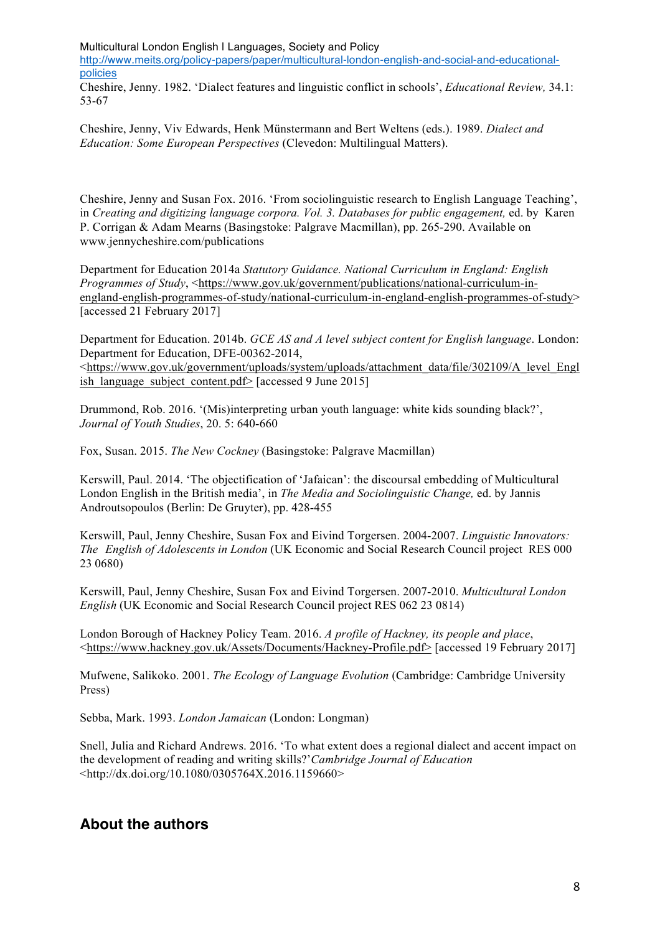Multicultural London English | Languages, Society and Policy

http://www.meits.org/policy-papers/paper/multicultural-london-english-and-social-and-educationalpolicies

Cheshire, Jenny. 1982. 'Dialect features and linguistic conflict in schools', *Educational Review,* 34.1: 53-67

Cheshire, Jenny, Viv Edwards, Henk Münstermann and Bert Weltens (eds.). 1989. *Dialect and Education: Some European Perspectives* (Clevedon: Multilingual Matters).

Cheshire, Jenny and Susan Fox. 2016. 'From sociolinguistic research to English Language Teaching', in *Creating and digitizing language corpora. Vol. 3. Databases for public engagement,* ed. by Karen P. Corrigan & Adam Mearns (Basingstoke: Palgrave Macmillan), pp. 265-290. Available on www.jennycheshire.com/publications

Department for Education 2014a *Statutory Guidance. National Curriculum in England: English Programmes of Study*, <https://www.gov.uk/government/publications/national-curriculum-inengland-english-programmes-of-study/national-curriculum-in-england-english-programmes-of-study> [accessed 21 February 2017]

Department for Education. 2014b. *GCE AS and A level subject content for English language*. London: Department for Education, DFE-00362-2014,

<https://www.gov.uk/government/uploads/system/uploads/attachment\_data/file/302109/A\_level\_Engl ish language subject content.pdf> [accessed 9 June 2015]

Drummond, Rob. 2016. '(Mis)interpreting urban youth language: white kids sounding black?', *Journal of Youth Studies*, 20. 5: 640-660

Fox, Susan. 2015. *The New Cockney* (Basingstoke: Palgrave Macmillan)

Kerswill, Paul. 2014. 'The objectification of 'Jafaican': the discoursal embedding of Multicultural London English in the British media', in *The Media and Sociolinguistic Change,* ed. by Jannis Androutsopoulos (Berlin: De Gruyter), pp. 428-455

Kerswill, Paul, Jenny Cheshire, Susan Fox and Eivind Torgersen. 2004-2007. *Linguistic Innovators: The English of Adolescents in London* (UK Economic and Social Research Council project RES 000 23 0680)

Kerswill, Paul, Jenny Cheshire, Susan Fox and Eivind Torgersen. 2007-2010. *Multicultural London English* (UK Economic and Social Research Council project RES 062 23 0814)

London Borough of Hackney Policy Team. 2016. *A profile of Hackney, its people and place*, <https://www.hackney.gov.uk/Assets/Documents/Hackney-Profile.pdf> [accessed 19 February 2017]

Mufwene, Salikoko. 2001. *The Ecology of Language Evolution* (Cambridge: Cambridge University Press)

Sebba, Mark. 1993. *London Jamaican* (London: Longman)

Snell, Julia and Richard Andrews. 2016. 'To what extent does a regional dialect and accent impact on the development of reading and writing skills?'*Cambridge Journal of Education* <http://dx.doi.org/10.1080/0305764X.2016.1159660>

### **About the authors**